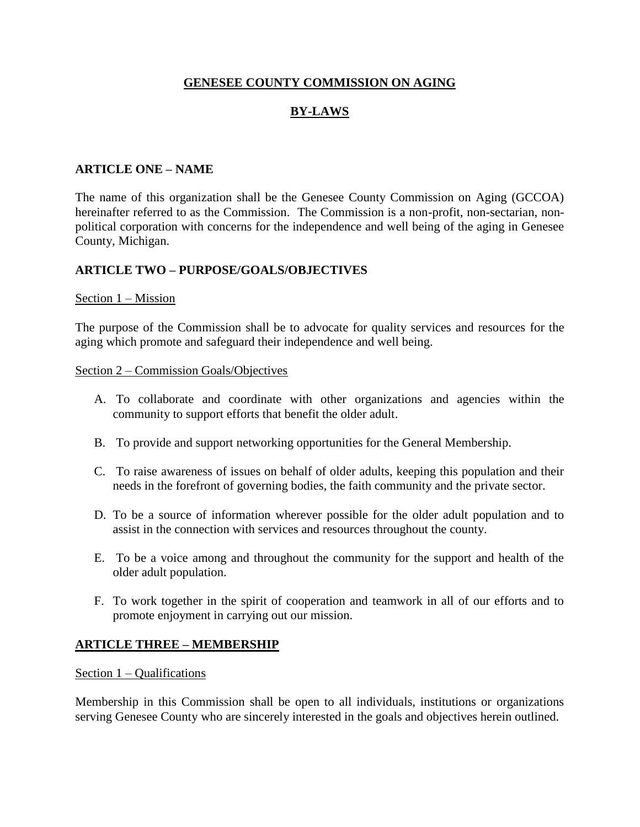## **GENESEE COUNTY COMMISSION ON AGING**

# **BY-LAWS**

# **ARTICLE ONE – NAME**

The name of this organization shall be the Genesee County Commission on Aging (GCCOA) hereinafter referred to as the Commission. The Commission is a non-profit, non-sectarian, nonpolitical corporation with concerns for the independence and well being of the aging in Genesee County, Michigan.

## **ARTICLE TWO – PURPOSE/GOALS/OBJECTIVES**

#### Section 1 – Mission

The purpose of the Commission shall be to advocate for quality services and resources for the aging which promote and safeguard their independence and well being.

#### Section 2 – Commission Goals/Objectives

- A. To collaborate and coordinate with other organizations and agencies within the community to support efforts that benefit the older adult.
- B. To provide and support networking opportunities for the General Membership.
- C. To raise awareness of issues on behalf of older adults, keeping this population and their needs in the forefront of governing bodies, the faith community and the private sector.
- D. To be a source of information wherever possible for the older adult population and to assist in the connection with services and resources throughout the county.
- E. To be a voice among and throughout the community for the support and health of the older adult population.
- F. To work together in the spirit of cooperation and teamwork in all of our efforts and to promote enjoyment in carrying out our mission.

## **ARTICLE THREE – MEMBERSHIP**

#### Section 1 – Qualifications

Membership in this Commission shall be open to all individuals, institutions or organizations serving Genesee County who are sincerely interested in the goals and objectives herein outlined.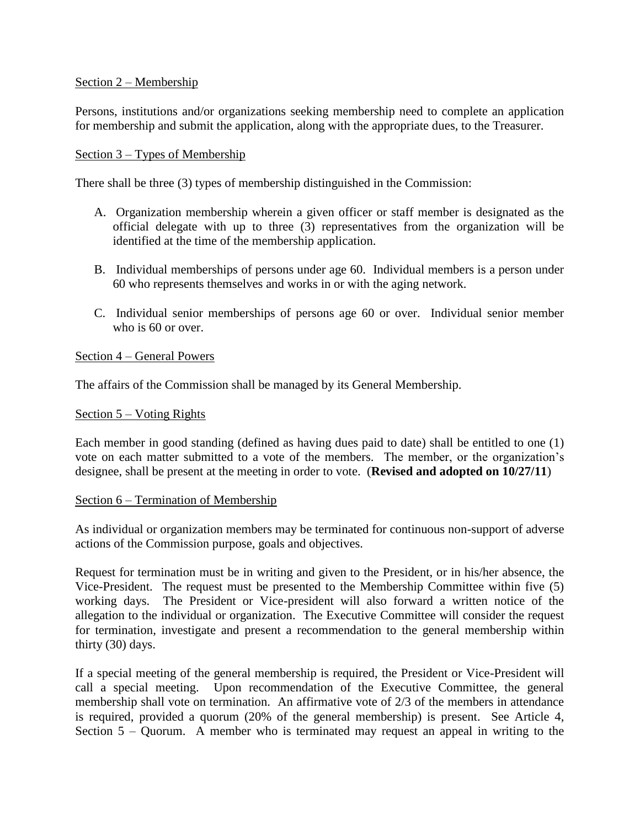## Section 2 – Membership

Persons, institutions and/or organizations seeking membership need to complete an application for membership and submit the application, along with the appropriate dues, to the Treasurer.

### Section 3 – Types of Membership

There shall be three (3) types of membership distinguished in the Commission:

- A. Organization membership wherein a given officer or staff member is designated as the official delegate with up to three (3) representatives from the organization will be identified at the time of the membership application.
- B. Individual memberships of persons under age 60. Individual members is a person under 60 who represents themselves and works in or with the aging network.
- C. Individual senior memberships of persons age 60 or over. Individual senior member who is 60 or over.

#### Section 4 – General Powers

The affairs of the Commission shall be managed by its General Membership.

#### Section 5 – Voting Rights

Each member in good standing (defined as having dues paid to date) shall be entitled to one (1) vote on each matter submitted to a vote of the members. The member, or the organization's designee, shall be present at the meeting in order to vote. (**Revised and adopted on 10/27/11**)

#### Section 6 – Termination of Membership

As individual or organization members may be terminated for continuous non-support of adverse actions of the Commission purpose, goals and objectives.

Request for termination must be in writing and given to the President, or in his/her absence, the Vice-President. The request must be presented to the Membership Committee within five (5) working days. The President or Vice-president will also forward a written notice of the allegation to the individual or organization. The Executive Committee will consider the request for termination, investigate and present a recommendation to the general membership within thirty (30) days.

If a special meeting of the general membership is required, the President or Vice-President will call a special meeting. Upon recommendation of the Executive Committee, the general membership shall vote on termination. An affirmative vote of 2/3 of the members in attendance is required, provided a quorum (20% of the general membership) is present. See Article 4, Section 5 – Quorum. A member who is terminated may request an appeal in writing to the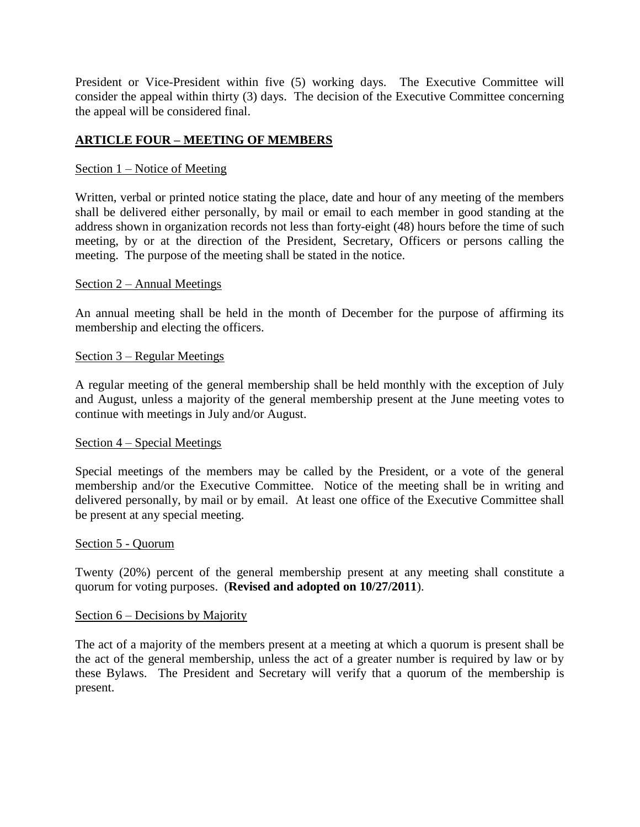President or Vice-President within five (5) working days. The Executive Committee will consider the appeal within thirty (3) days. The decision of the Executive Committee concerning the appeal will be considered final.

# **ARTICLE FOUR – MEETING OF MEMBERS**

### Section 1 – Notice of Meeting

Written, verbal or printed notice stating the place, date and hour of any meeting of the members shall be delivered either personally, by mail or email to each member in good standing at the address shown in organization records not less than forty-eight (48) hours before the time of such meeting, by or at the direction of the President, Secretary, Officers or persons calling the meeting. The purpose of the meeting shall be stated in the notice.

#### Section 2 – Annual Meetings

An annual meeting shall be held in the month of December for the purpose of affirming its membership and electing the officers.

#### Section 3 – Regular Meetings

A regular meeting of the general membership shall be held monthly with the exception of July and August, unless a majority of the general membership present at the June meeting votes to continue with meetings in July and/or August.

#### Section 4 – Special Meetings

Special meetings of the members may be called by the President, or a vote of the general membership and/or the Executive Committee. Notice of the meeting shall be in writing and delivered personally, by mail or by email. At least one office of the Executive Committee shall be present at any special meeting.

#### Section 5 - Quorum

Twenty (20%) percent of the general membership present at any meeting shall constitute a quorum for voting purposes. (**Revised and adopted on 10/27/2011**).

#### Section 6 – Decisions by Majority

The act of a majority of the members present at a meeting at which a quorum is present shall be the act of the general membership, unless the act of a greater number is required by law or by these Bylaws. The President and Secretary will verify that a quorum of the membership is present.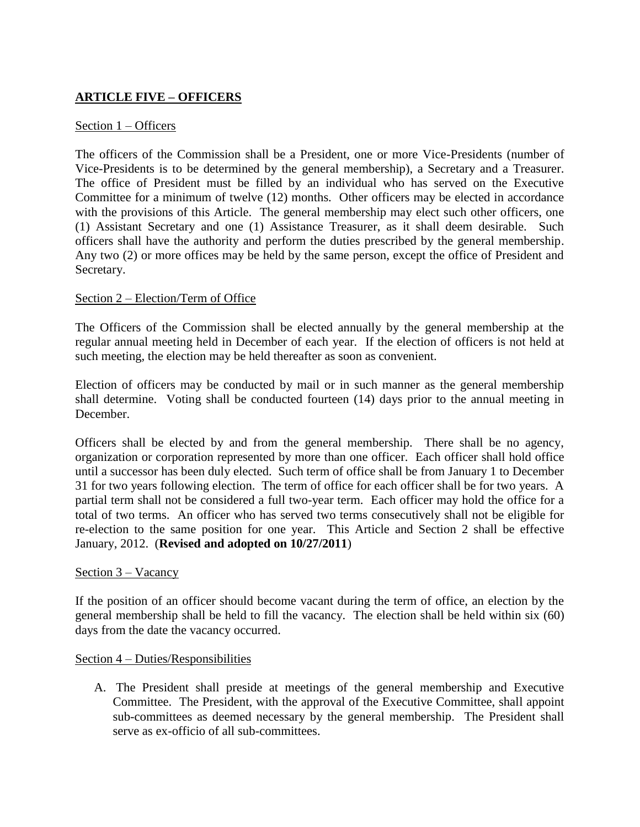# **ARTICLE FIVE – OFFICERS**

## Section 1 – Officers

The officers of the Commission shall be a President, one or more Vice-Presidents (number of Vice-Presidents is to be determined by the general membership), a Secretary and a Treasurer. The office of President must be filled by an individual who has served on the Executive Committee for a minimum of twelve (12) months. Other officers may be elected in accordance with the provisions of this Article. The general membership may elect such other officers, one (1) Assistant Secretary and one (1) Assistance Treasurer, as it shall deem desirable. Such officers shall have the authority and perform the duties prescribed by the general membership. Any two (2) or more offices may be held by the same person, except the office of President and Secretary.

## Section 2 – Election/Term of Office

The Officers of the Commission shall be elected annually by the general membership at the regular annual meeting held in December of each year. If the election of officers is not held at such meeting, the election may be held thereafter as soon as convenient.

Election of officers may be conducted by mail or in such manner as the general membership shall determine. Voting shall be conducted fourteen (14) days prior to the annual meeting in December.

Officers shall be elected by and from the general membership. There shall be no agency, organization or corporation represented by more than one officer. Each officer shall hold office until a successor has been duly elected. Such term of office shall be from January 1 to December 31 for two years following election. The term of office for each officer shall be for two years. A partial term shall not be considered a full two-year term. Each officer may hold the office for a total of two terms. An officer who has served two terms consecutively shall not be eligible for re-election to the same position for one year. This Article and Section 2 shall be effective January, 2012. (**Revised and adopted on 10/27/2011**)

## Section 3 – Vacancy

If the position of an officer should become vacant during the term of office, an election by the general membership shall be held to fill the vacancy. The election shall be held within six (60) days from the date the vacancy occurred.

## Section 4 – Duties/Responsibilities

A. The President shall preside at meetings of the general membership and Executive Committee. The President, with the approval of the Executive Committee, shall appoint sub-committees as deemed necessary by the general membership. The President shall serve as ex-officio of all sub-committees.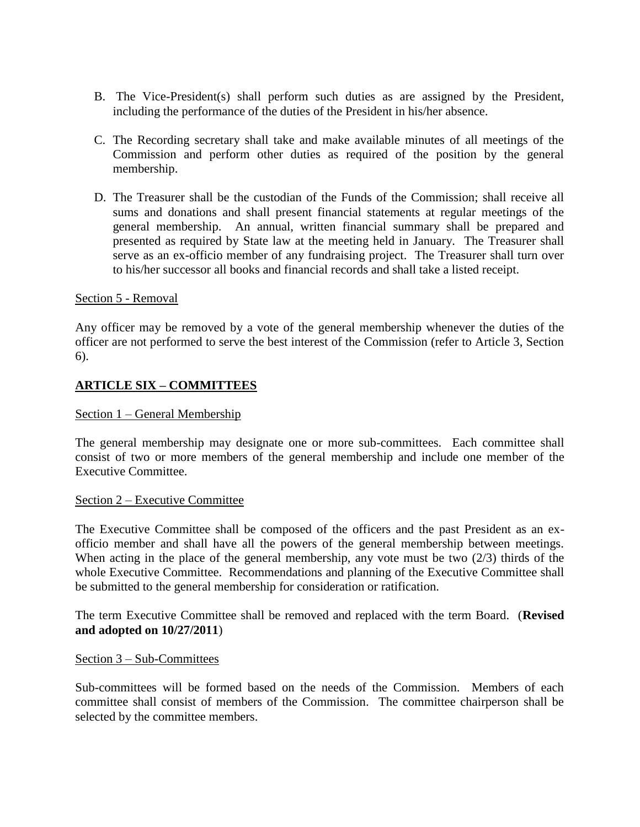- B. The Vice-President(s) shall perform such duties as are assigned by the President, including the performance of the duties of the President in his/her absence.
- C. The Recording secretary shall take and make available minutes of all meetings of the Commission and perform other duties as required of the position by the general membership.
- D. The Treasurer shall be the custodian of the Funds of the Commission; shall receive all sums and donations and shall present financial statements at regular meetings of the general membership. An annual, written financial summary shall be prepared and presented as required by State law at the meeting held in January. The Treasurer shall serve as an ex-officio member of any fundraising project. The Treasurer shall turn over to his/her successor all books and financial records and shall take a listed receipt.

## Section 5 - Removal

Any officer may be removed by a vote of the general membership whenever the duties of the officer are not performed to serve the best interest of the Commission (refer to Article 3, Section 6).

## **ARTICLE SIX – COMMITTEES**

#### Section 1 – General Membership

The general membership may designate one or more sub-committees. Each committee shall consist of two or more members of the general membership and include one member of the Executive Committee.

#### Section 2 – Executive Committee

The Executive Committee shall be composed of the officers and the past President as an exofficio member and shall have all the powers of the general membership between meetings. When acting in the place of the general membership, any vote must be two  $(2/3)$  thirds of the whole Executive Committee. Recommendations and planning of the Executive Committee shall be submitted to the general membership for consideration or ratification.

The term Executive Committee shall be removed and replaced with the term Board. (**Revised and adopted on 10/27/2011**)

#### Section 3 – Sub-Committees

Sub-committees will be formed based on the needs of the Commission. Members of each committee shall consist of members of the Commission. The committee chairperson shall be selected by the committee members.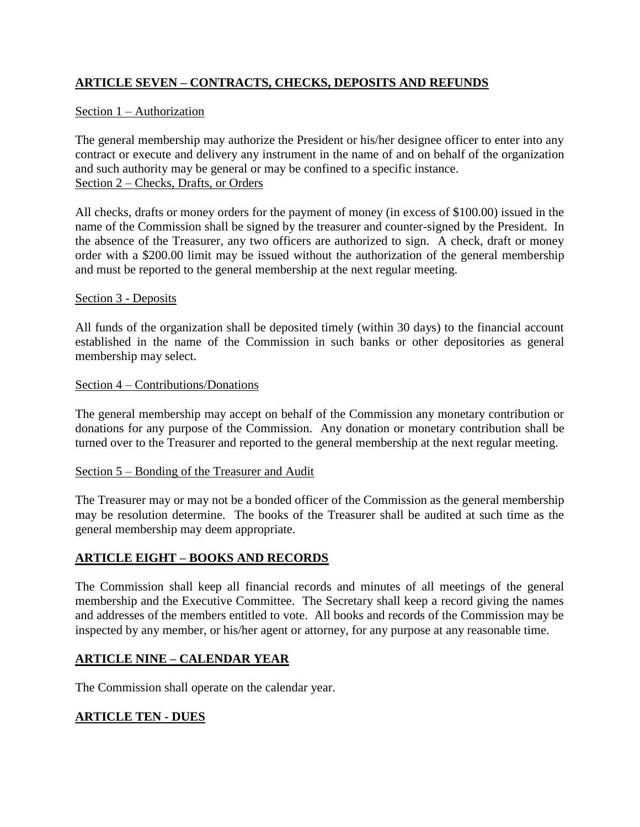# **ARTICLE SEVEN – CONTRACTS, CHECKS, DEPOSITS AND REFUNDS**

# Section 1 – Authorization

The general membership may authorize the President or his/her designee officer to enter into any contract or execute and delivery any instrument in the name of and on behalf of the organization and such authority may be general or may be confined to a specific instance. Section 2 – Checks, Drafts, or Orders

All checks, drafts or money orders for the payment of money (in excess of \$100.00) issued in the name of the Commission shall be signed by the treasurer and counter-signed by the President. In the absence of the Treasurer, any two officers are authorized to sign. A check, draft or money order with a \$200.00 limit may be issued without the authorization of the general membership and must be reported to the general membership at the next regular meeting.

## Section 3 - Deposits

All funds of the organization shall be deposited timely (within 30 days) to the financial account established in the name of the Commission in such banks or other depositories as general membership may select.

## Section 4 – Contributions/Donations

The general membership may accept on behalf of the Commission any monetary contribution or donations for any purpose of the Commission. Any donation or monetary contribution shall be turned over to the Treasurer and reported to the general membership at the next regular meeting.

## Section 5 – Bonding of the Treasurer and Audit

The Treasurer may or may not be a bonded officer of the Commission as the general membership may be resolution determine. The books of the Treasurer shall be audited at such time as the general membership may deem appropriate.

# **ARTICLE EIGHT – BOOKS AND RECORDS**

The Commission shall keep all financial records and minutes of all meetings of the general membership and the Executive Committee. The Secretary shall keep a record giving the names and addresses of the members entitled to vote. All books and records of the Commission may be inspected by any member, or his/her agent or attorney, for any purpose at any reasonable time.

# **ARTICLE NINE – CALENDAR YEAR**

The Commission shall operate on the calendar year.

# **ARTICLE TEN - DUES**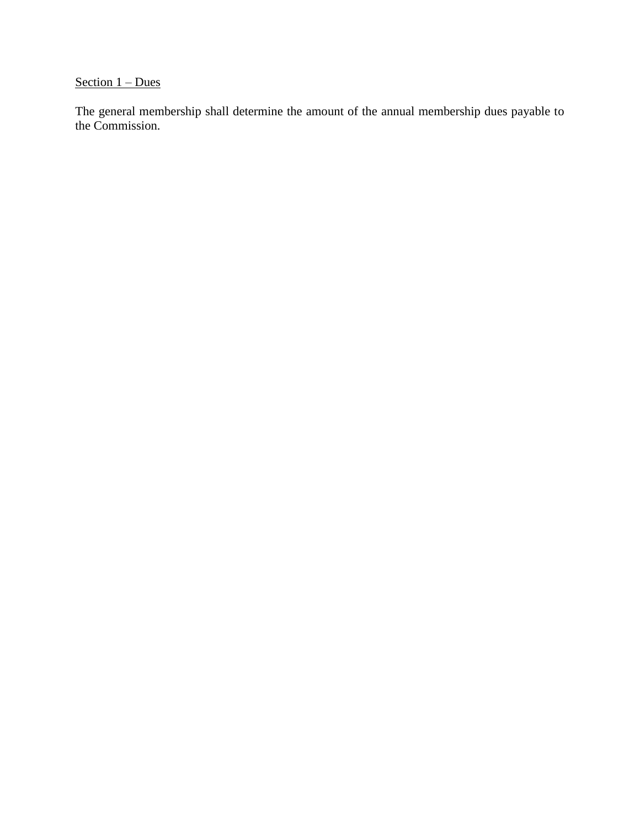# Section  $1 - Dues$

The general membership shall determine the amount of the annual membership dues payable to the Commission.